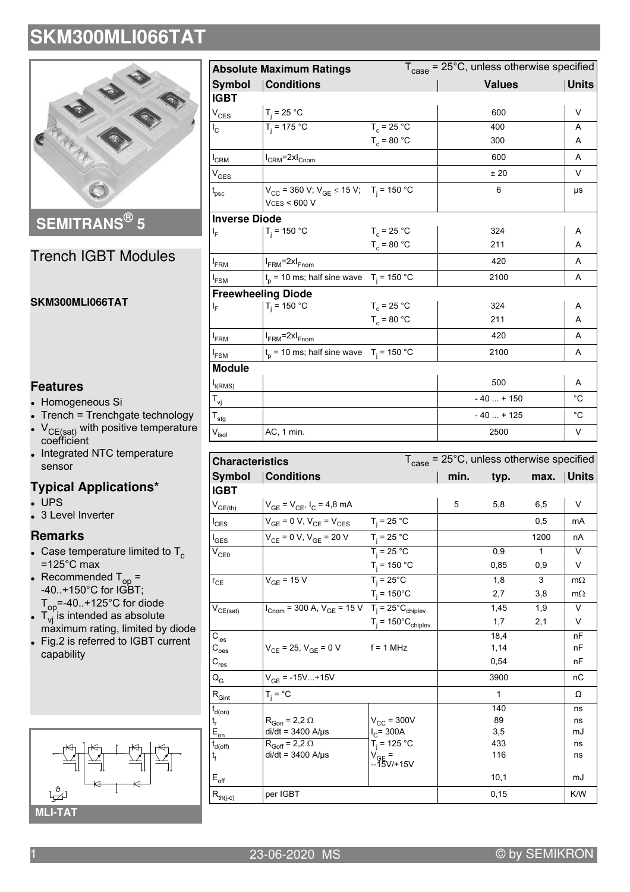

**SEMITRANS® 5**

## Trench IGBT Modules

#### **SKM300MLI066TAT**

### **Features**

- Homogeneous Si
- Trench = Trenchgate technology
- $V_{CE(sat)}$  with positive temperature coefficient
- . Integrated NTC temperature sensor

## **Typical Applications\***

- $\cdot$  UPS
- 3 Level Inverter

#### **Remarks**

- Case temperature limited to  $T_c$  $=125^{\circ}$ C max
- Recommended  $T_{op}$  = -40..+150°C for IGBT; T<sub>op</sub>=-40..+125°C for diode
- $T_{\mathsf{vj}}$  is intended as absolute máximum rating, limited by diode
- $\bullet$  Fig.2 is referred to IGBT current capability



| <b>Absolute Maximum Ratings</b> |                                                                                | $T_{\text{case}}$ = 25°C, unless otherwise specified |               |              |  |  |
|---------------------------------|--------------------------------------------------------------------------------|------------------------------------------------------|---------------|--------------|--|--|
| <b>Symbol</b>                   | <b>Conditions</b>                                                              |                                                      | <b>Values</b> | <b>Units</b> |  |  |
| <b>IGBT</b>                     |                                                                                |                                                      |               |              |  |  |
| $V_{CES}$                       | $T_i = 25 °C$                                                                  |                                                      | 600           | V            |  |  |
| $I_{\rm C}$                     | $T_i = 175 °C$                                                                 | $T_c = 25 °C$                                        | 400           | A            |  |  |
|                                 |                                                                                | $T_c = 80 °C$                                        | 300           | A            |  |  |
| $I_{CRM}$                       | $I_{CRM}$ =2x $I_{Cnom}$                                                       |                                                      | 600           | A            |  |  |
| $\rm V_{GES}$                   |                                                                                |                                                      | ±20           | $\vee$       |  |  |
| $t_{\rm psc}$                   | $V_{CC}$ = 360 V; $V_{GE}$ $\leq$ 15 V; T <sub>i</sub> = 150 °C<br>VCS < 600 V |                                                      | 6             | μs           |  |  |
| <b>Inverse Diode</b>            |                                                                                |                                                      |               |              |  |  |
| ΙF                              | $T_i = 150 °C$                                                                 | $T_c = 25 °C$                                        | 324           | A            |  |  |
|                                 |                                                                                | $T_c = 80 °C$                                        | 211           | A            |  |  |
| $I_{FRM}$                       | $I_{FRM}$ =2x $I_{Fnom}$                                                       |                                                      | 420           | A            |  |  |
| $I_{FSM}$                       | $t_p$ = 10 ms; half sine wave $T_i$ = 150 °C                                   |                                                      | 2100          | A            |  |  |
|                                 | <b>Freewheeling Diode</b>                                                      |                                                      |               |              |  |  |
| ı,                              | $T_i = 150 °C$                                                                 | $T_c = 25 °C$                                        | 324           | Α            |  |  |
|                                 |                                                                                | $T_c = 80 °C$                                        | 211           | A            |  |  |
| $I_{FRM}$                       | $I_{FRM}$ =2x $I_{Fnom}$                                                       |                                                      | 420           | A            |  |  |
| $I_{FSM}$                       | $t_p$ = 10 ms; half sine wave $T_i$ = 150 °C                                   |                                                      | 2100          | A            |  |  |
| <b>Module</b>                   |                                                                                |                                                      |               |              |  |  |
| $I_{t(RMS)}$                    |                                                                                |                                                      | 500           | A            |  |  |
| $\mathsf{T}_{\mathsf{vj}}$      |                                                                                |                                                      | $-40 + 150$   | $^{\circ}$ C |  |  |
| $\mathsf{T}_{\mathsf{stg}}$     |                                                                                |                                                      | $-40+125$     | $^{\circ}C$  |  |  |
| $V_{\sf isol}$                  | AC, 1 min.                                                                     |                                                      | 2500          | V            |  |  |

| <b>Characteristics</b>                    |                                                                                                           | $T_{\text{case}}$ = 25°C, unless otherwise specified |      |              |              |              |  |
|-------------------------------------------|-----------------------------------------------------------------------------------------------------------|------------------------------------------------------|------|--------------|--------------|--------------|--|
| Symbol                                    | <b>Conditions</b>                                                                                         |                                                      | min. | typ.         | max.         | <b>Units</b> |  |
| <b>IGBT</b>                               |                                                                                                           |                                                      |      |              |              |              |  |
| $V_{GE(th)}$                              | $V_{GE} = V_{CE}$ , $I_C = 4.8$ mA                                                                        |                                                      | 5    | 5,8          | 6,5          | V            |  |
| $I_{CES}$                                 | $V_{GE} = 0 V, V_{CE} = V_{CES}$ $T_i = 25 °C$                                                            |                                                      |      |              | 0,5          | mA           |  |
| l <sub>GES</sub>                          | $V_{CE} = 0 V, V_{GE} = 20 V$ $T_j = 25 °C$                                                               |                                                      |      |              | 1200         | nA           |  |
| $V_{CE0}$                                 |                                                                                                           | $T_i = 25 °C$                                        |      | 0,9          | $\mathbf{1}$ | $\vee$       |  |
|                                           |                                                                                                           | $T_j$ = 150 °C                                       |      | 0,85         | 0,9          | V            |  |
| $r_{CE}$                                  | $V_{GE} = 15 V$                                                                                           | $\overline{T_i}$ = 25°C                              |      | 1,8          | 3            | $m\Omega$    |  |
|                                           |                                                                                                           | $T_i = 150^{\circ}C$                                 |      | 2,7          | 3,8          | $m\Omega$    |  |
| $\mathsf{V}_{\mathsf{CE}(\mathsf{sat})}$  | $I_{\text{Cnom}}$ = 300 A, $V_{\text{GE}}$ = 15 V T <sub>j</sub> = 25 <sup>°</sup> C <sub>chiplev</sub> . |                                                      |      | 1,45         | 1,9          | $\vee$       |  |
|                                           |                                                                                                           | $T_i = 150^{\circ}C_{\text{chiplev}}$                |      | 1,7          | 2,1          | V            |  |
| $C_{\text{ies}}$                          |                                                                                                           |                                                      |      | 18,4         |              | nF           |  |
| $\mathtt{C_{oes}}$                        | $V_{CE}$ = 25, $V_{GE}$ = 0 V                                                                             | $f = 1$ MHz                                          |      | 1,14         |              | nF           |  |
| $C_{res}$                                 |                                                                                                           |                                                      |      | 0,54         |              | nF           |  |
| $Q_G$                                     | $V_{GE}$ = -15V+15V                                                                                       |                                                      |      | 3900         |              | nC           |  |
| $\mathsf{R}_{\mathsf{Gint}}$              | $T_i = \text{°C}$                                                                                         |                                                      |      | $\mathbf{1}$ |              | Ω            |  |
| $\mathsf{t}_{\mathsf{d}(\mathsf{on})}$    |                                                                                                           |                                                      |      | 140          |              | ns           |  |
| t,                                        | $R_{Gon}$ = 2,2 $\Omega$                                                                                  | $V_{CC}$ = 300V                                      |      | 89           |              | ns           |  |
| $E_{\underline{\underline{\mathrm{on}}}}$ | $di/dt = 3400$ A/ $\mu$ s                                                                                 | $I_C = 300A$                                         |      | 3,5          |              | mJ           |  |
| $\mathfrak{t}_{\text{d(off)}}$            | $R_{Goff} = 2.2 \Omega$                                                                                   | $T_i = 125 °C$                                       |      | 433          |              | ns           |  |
| t <sub>f</sub>                            | $di/dt = 3400$ A/ $\mu$ s                                                                                 | V <sub>GE</sub> =<br>--15V/+15V                      |      | 116          |              | ns           |  |
| $E_{\text{off}}$                          |                                                                                                           |                                                      |      | 10,1         |              | mJ           |  |
| $R_{th(j-c)}$                             | per IGBT                                                                                                  |                                                      |      | 0, 15        |              | K/W          |  |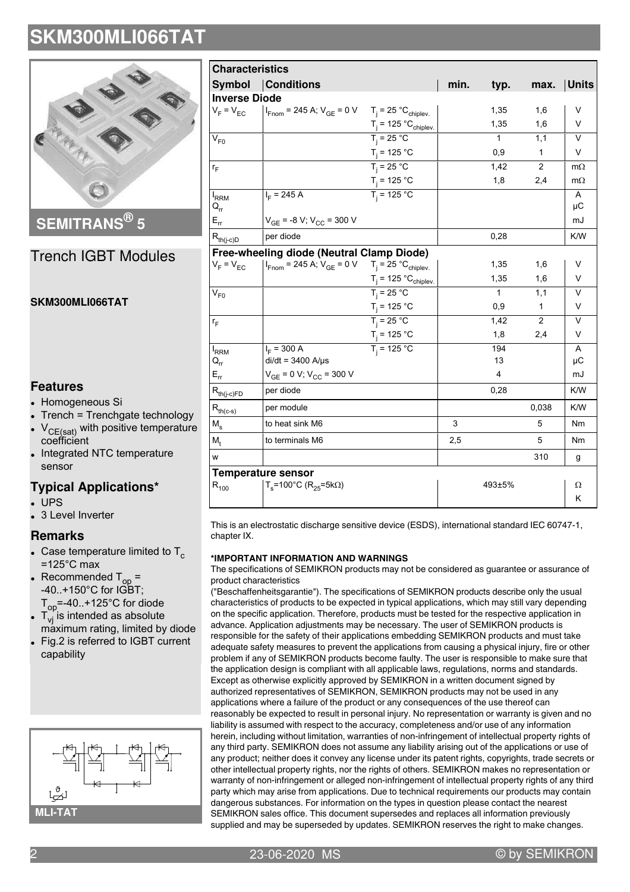

**SEMITRANS® 5**

### Trench IGBT Modules

#### **SKM300MLI066TAT**

### **Features**

- Homogeneous Si
- Trench = Trenchgate technology
- $V_{CE(sat)}$  with positive temperature coefficient
- $\bullet$ Integrated NTC temperature sensor

## **Typical Applications\***

 $\cdot$  UPS • 3 Level Inverter

### **Remarks**

- Case temperature limited to  $T_c$  $=125^{\circ}$ C max
- Recommended  $T_{op}$  =  $-40.+150^{\circ}$ C for  $1\overrightarrow{GB}T$ ;  $T_{op}$  =-40..+125°C for diode
- $T_{\mathsf{vj}}$  is intended as absolute máximum rating, limited by diode
- $\bullet$  Fig.2 is referred to IGBT current capability



| <b>Characteristics</b>                                    |                                                                                              |                                            |      |              |                |                |
|-----------------------------------------------------------|----------------------------------------------------------------------------------------------|--------------------------------------------|------|--------------|----------------|----------------|
|                                                           | <b>Symbol Conditions</b>                                                                     |                                            | min. | typ.         | max.           | <b>Units</b>   |
| <b>Inverse Diode</b>                                      |                                                                                              |                                            |      |              |                |                |
| $V_F = V_{EC}$                                            | $I_{\text{Fnom}}$ = 245 A; $V_{\text{GE}}$ = 0 V T <sub>j</sub> = 25 °C <sub>chiplev</sub>   |                                            |      | 1,35         | 1,6            | V              |
|                                                           |                                                                                              | $T_j = 125 °C_{chiplev.}$<br>$T_j = 25 °C$ |      | 1,35         | 1,6            | V              |
| $V_{F0}$                                                  |                                                                                              |                                            |      | $\mathbf{1}$ | 1.1            | $\vee$         |
|                                                           |                                                                                              | $T_j$ = 125 °C                             |      | 0,9          | 1              | $\vee$         |
| $r_F$                                                     |                                                                                              | $T_i = 25 °C$                              |      | 1,42         | $\overline{2}$ | $m\Omega$      |
|                                                           |                                                                                              | $T_j = 125 °C$<br>$T_j = 125 °C$           |      | 1,8          | 2,4            | $m\Omega$      |
| $I_{RRM}$<br>$Q_{rr}$                                     | $I_F$ = 245 A                                                                                |                                            |      |              |                | A<br>μC        |
| $E_{rr}$                                                  | $V_{GE}$ = -8 V; $V_{CC}$ = 300 V                                                            |                                            |      |              |                | mJ             |
| $\mathsf{R}_{\mathsf{th}(j\text{-}\mathsf{c})\mathsf{D}}$ | per diode                                                                                    |                                            |      | 0,28         |                | K/W            |
|                                                           | Free-wheeling diode (Neutral Clamp Diode)                                                    |                                            |      |              |                |                |
| $V_F = V_{EC}$                                            | $I_{\text{From}}$ = 245 A; $V_{\text{GE}}$ = 0 V T <sub>i</sub> = 25 °C <sub>chiplev</sub> . |                                            |      | 1,35         | 1,6            | V              |
|                                                           |                                                                                              | $T_j = 125 °C_{chiplev.}$<br>$T_j = 25 °C$ |      | 1,35         | 1,6            | V              |
| $V_{F0}$                                                  |                                                                                              |                                            |      | $\mathbf{1}$ | 1,1            | $\vee$         |
|                                                           |                                                                                              | $T_i = 125 °C$                             |      | 0,9          | 1              | V              |
| $r_F$                                                     |                                                                                              | $T_i = 25 °C$                              |      | 1.42         | 2              | $\vee$         |
|                                                           |                                                                                              | $T_j$ = 125 °C                             |      | 1,8          | 2,4            | V              |
| $I_{RRM}$                                                 | $I_F$ = 300 A                                                                                | $T_i = 125 °C$                             |      | 194          |                | A              |
| $\mathsf{Q}_{\mathsf{rr}}$                                | $di/dt = 3400$ A/ $\mu$ s                                                                    |                                            |      | 13           |                | μC             |
| $E_{rr}$                                                  | $V_{GE}$ = 0 V; $V_{CC}$ = 300 V                                                             |                                            |      | 4            |                | mJ             |
| $R_{th(j-c)FD}$                                           | per diode                                                                                    |                                            |      | 0,28         |                | K/W            |
| $R_{th(c-s)}$                                             | per module                                                                                   |                                            |      |              | 0,038          | K/W            |
| $M_{\rm s}$                                               | to heat sink M6                                                                              |                                            | 3    |              | 5              | N <sub>m</sub> |
| $M_{+}$                                                   | to terminals M6                                                                              |                                            | 2,5  |              | 5              | Nm             |
| W                                                         |                                                                                              |                                            |      |              | 310            | g              |
|                                                           | <b>Temperature sensor</b>                                                                    |                                            |      |              |                |                |
| $R_{100}$                                                 | $T_s$ =100°C (R <sub>25</sub> =5kΩ)                                                          |                                            |      | 493±5%       |                | Ω              |
|                                                           |                                                                                              |                                            |      |              |                | K              |

This is an electrostatic discharge sensitive device (ESDS), international standard IEC 60747-1, chapter IX.

#### **\*IMPORTANT INFORMATION AND WARNINGS**

The specifications of SEMIKRON products may not be considered as guarantee or assurance of product characteristics

("Beschaffenheitsgarantie"). The specifications of SEMIKRON products describe only the usual characteristics of products to be expected in typical applications, which may still vary depending on the specific application. Therefore, products must be tested for the respective application in advance. Application adjustments may be necessary. The user of SEMIKRON products is responsible for the safety of their applications embedding SEMIKRON products and must take adequate safety measures to prevent the applications from causing a physical injury, fire or other problem if any of SEMIKRON products become faulty. The user is responsible to make sure that the application design is compliant with all applicable laws, regulations, norms and standards. Except as otherwise explicitly approved by SEMIKRON in a written document signed by authorized representatives of SEMIKRON, SEMIKRON products may not be used in any applications where a failure of the product or any consequences of the use thereof can reasonably be expected to result in personal injury. No representation or warranty is given and no liability is assumed with respect to the accuracy, completeness and/or use of any information herein, including without limitation, warranties of non-infringement of intellectual property rights of any third party. SEMIKRON does not assume any liability arising out of the applications or use of any product; neither does it convey any license under its patent rights, copyrights, trade secrets or other intellectual property rights, nor the rights of others. SEMIKRON makes no representation or warranty of non-infringement or alleged non-infringement of intellectual property rights of any third party which may arise from applications. Due to technical requirements our products may contain dangerous substances. For information on the types in question please contact the nearest SEMIKRON sales office. This document supersedes and replaces all information previously supplied and may be superseded by updates. SEMIKRON reserves the right to make changes.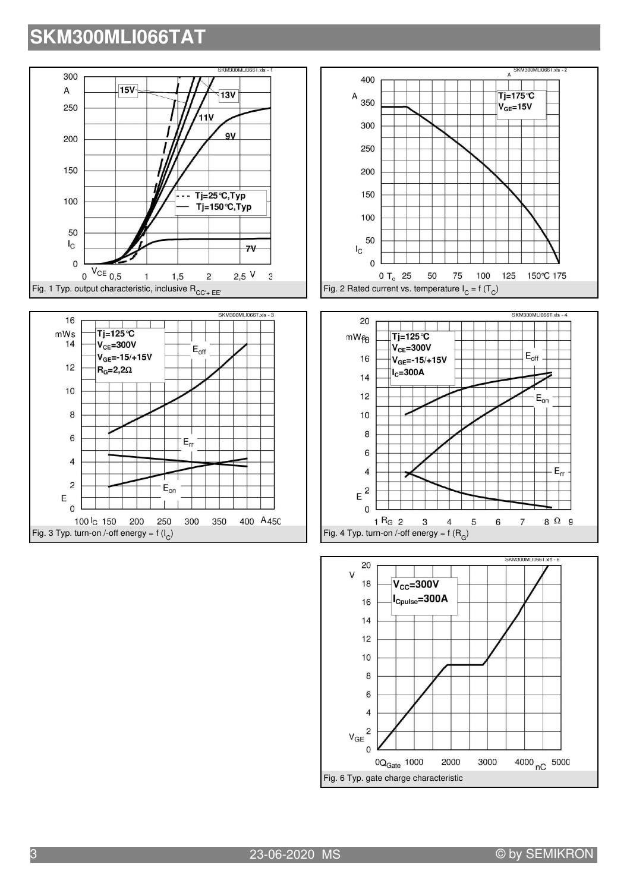







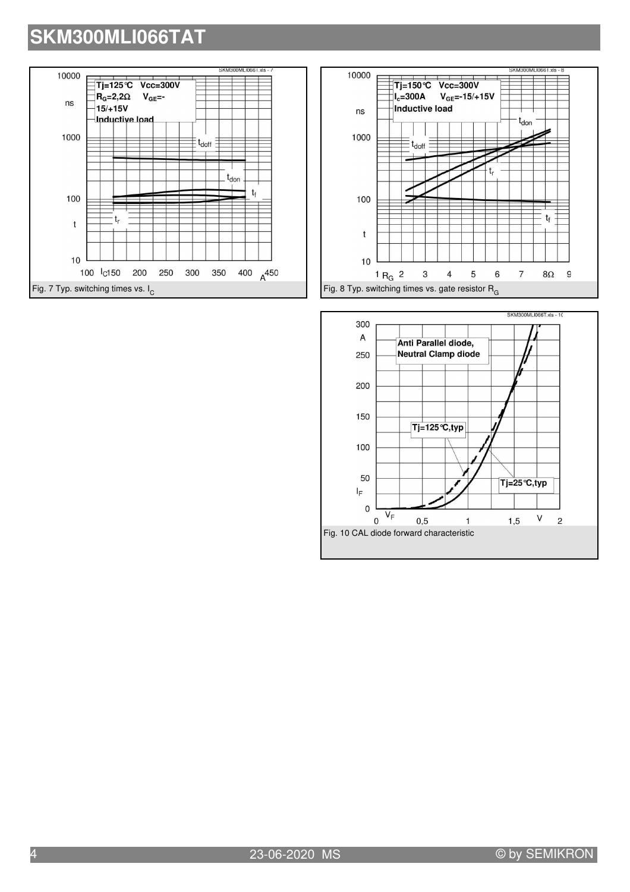